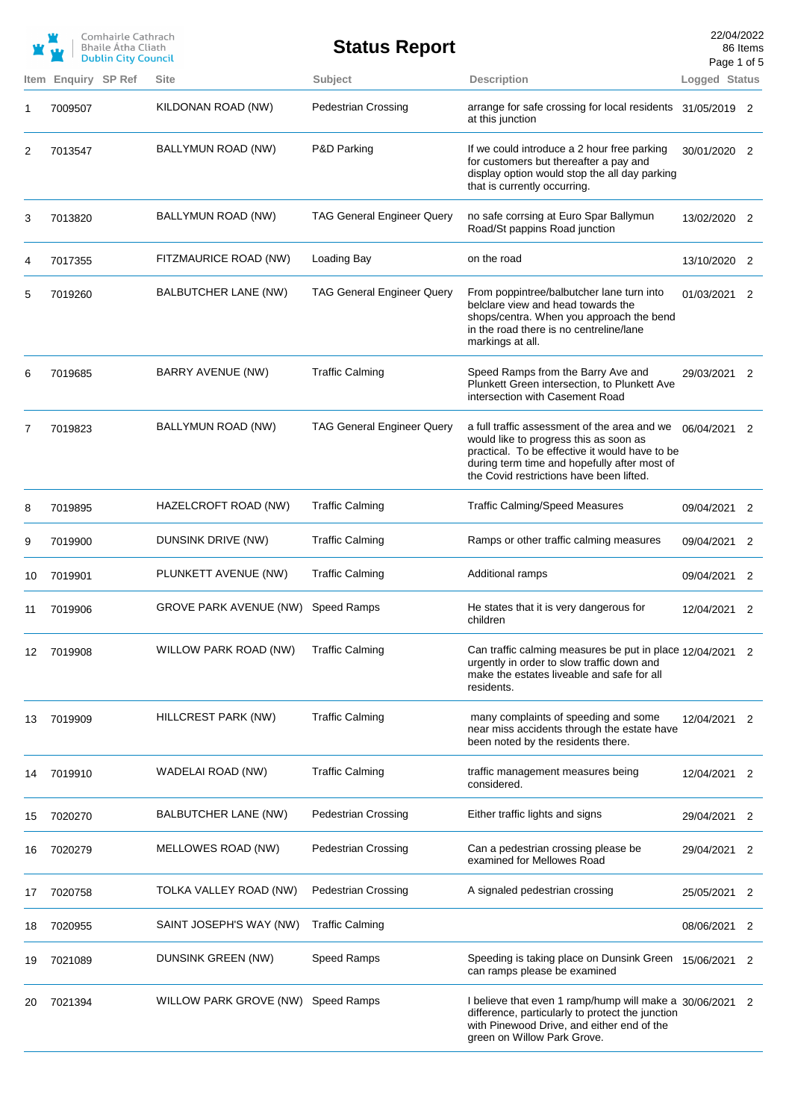|    |         | Comhairle Cathrach<br>Bhaile Átha Cliath<br><b>Dublin City Council</b> |                         | <b>Status Report</b>              |                                                                                                                                                                                                                                      | 22/04/2022<br>Page 1 of 5 | 86 Items                   |
|----|---------|------------------------------------------------------------------------|-------------------------|-----------------------------------|--------------------------------------------------------------------------------------------------------------------------------------------------------------------------------------------------------------------------------------|---------------------------|----------------------------|
|    |         | Item Enquiry SP Ref                                                    | <b>Site</b>             | Subject                           | <b>Description</b>                                                                                                                                                                                                                   | Logged Status             |                            |
| 1  | 7009507 |                                                                        | KILDONAN ROAD (NW)      | <b>Pedestrian Crossing</b>        | arrange for safe crossing for local residents 31/05/2019 2<br>at this junction                                                                                                                                                       |                           |                            |
| 2  | 7013547 |                                                                        | BALLYMUN ROAD (NW)      | P&D Parking                       | If we could introduce a 2 hour free parking<br>for customers but thereafter a pay and<br>display option would stop the all day parking<br>that is currently occurring.                                                               | 30/01/2020 2              |                            |
| 3  | 7013820 |                                                                        | BALLYMUN ROAD (NW)      | <b>TAG General Engineer Query</b> | no safe corrsing at Euro Spar Ballymun<br>Road/St pappins Road junction                                                                                                                                                              | 13/02/2020 2              |                            |
| 4  | 7017355 |                                                                        | FITZMAURICE ROAD (NW)   | Loading Bay                       | on the road                                                                                                                                                                                                                          | 13/10/2020 2              |                            |
| 5  | 7019260 |                                                                        | BALBUTCHER LANE (NW)    | <b>TAG General Engineer Query</b> | From poppintree/balbutcher lane turn into<br>belclare view and head towards the<br>shops/centra. When you approach the bend<br>in the road there is no centreline/lane<br>markings at all.                                           | 01/03/2021 2              |                            |
| 6  | 7019685 |                                                                        | BARRY AVENUE (NW)       | <b>Traffic Calming</b>            | Speed Ramps from the Barry Ave and<br>Plunkett Green intersection, to Plunkett Ave<br>intersection with Casement Road                                                                                                                | 29/03/2021 2              |                            |
| 7  | 7019823 |                                                                        | BALLYMUN ROAD (NW)      | <b>TAG General Engineer Query</b> | a full traffic assessment of the area and we<br>would like to progress this as soon as<br>practical. To be effective it would have to be<br>during term time and hopefully after most of<br>the Covid restrictions have been lifted. | 06/04/2021 2              |                            |
| 8  | 7019895 |                                                                        | HAZELCROFT ROAD (NW)    | <b>Traffic Calming</b>            | <b>Traffic Calming/Speed Measures</b>                                                                                                                                                                                                | 09/04/2021                | $\overline{\phantom{0}}^2$ |
| 9  | 7019900 |                                                                        | DUNSINK DRIVE (NW)      | <b>Traffic Calming</b>            | Ramps or other traffic calming measures                                                                                                                                                                                              | 09/04/2021                | 2                          |
| 10 | 7019901 |                                                                        | PLUNKETT AVENUE (NW)    | <b>Traffic Calming</b>            | Additional ramps                                                                                                                                                                                                                     | 09/04/2021                | $\overline{\phantom{0}}^2$ |
| 11 | 7019906 |                                                                        | GROVE PARK AVENUE (NW)  | <b>Speed Ramps</b>                | He states that it is very dangerous for<br>children                                                                                                                                                                                  | 12/04/2021                | $\overline{\phantom{0}}^2$ |
| 12 | 7019908 |                                                                        | WILLOW PARK ROAD (NW)   | <b>Traffic Calming</b>            | Can traffic calming measures be put in place 12/04/2021 2<br>urgently in order to slow traffic down and<br>make the estates liveable and safe for all<br>residents.                                                                  |                           |                            |
| 13 | 7019909 |                                                                        | HILLCREST PARK (NW)     | <b>Traffic Calming</b>            | many complaints of speeding and some<br>near miss accidents through the estate have<br>been noted by the residents there.                                                                                                            | 12/04/2021 2              |                            |
| 14 | 7019910 |                                                                        | WADELAI ROAD (NW)       | <b>Traffic Calming</b>            | traffic management measures being<br>considered.                                                                                                                                                                                     | 12/04/2021                | 2                          |
| 15 | 7020270 |                                                                        | BALBUTCHER LANE (NW)    | <b>Pedestrian Crossing</b>        | Either traffic lights and signs                                                                                                                                                                                                      | 29/04/2021                | 2                          |
| 16 | 7020279 |                                                                        | MELLOWES ROAD (NW)      | <b>Pedestrian Crossing</b>        | Can a pedestrian crossing please be<br>examined for Mellowes Road                                                                                                                                                                    | 29/04/2021                | 2                          |
| 17 | 7020758 |                                                                        | TOLKA VALLEY ROAD (NW)  | <b>Pedestrian Crossing</b>        | A signaled pedestrian crossing                                                                                                                                                                                                       | 25/05/2021                | 2                          |
| 18 | 7020955 |                                                                        | SAINT JOSEPH'S WAY (NW) | <b>Traffic Calming</b>            |                                                                                                                                                                                                                                      | 08/06/2021                | 2                          |
| 19 | 7021089 |                                                                        | DUNSINK GREEN (NW)      | Speed Ramps                       | Speeding is taking place on Dunsink Green<br>can ramps please be examined                                                                                                                                                            | 15/06/2021                | 2                          |
| 20 | 7021394 |                                                                        | WILLOW PARK GROVE (NW)  | <b>Speed Ramps</b>                | I believe that even 1 ramp/hump will make a 30/06/2021 2<br>difference, particularly to protect the junction<br>with Pinewood Drive, and either end of the<br>green on Willow Park Grove.                                            |                           |                            |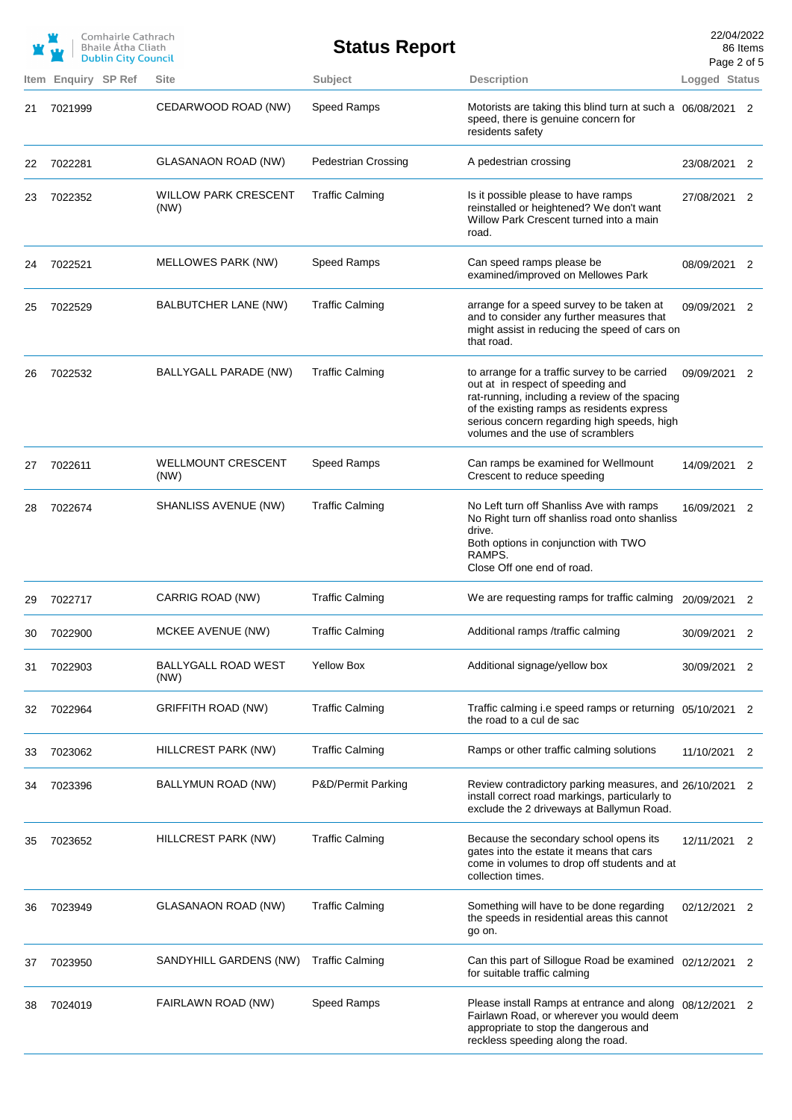|    |                     | Comhairle Cathrach<br><b>Bhaile Atha Cliath</b><br><b>Dublin City Council</b> |                                     | <b>Status Report</b>       |                                                                                                                                                                                                                                                                        |               | 22/04/2022<br>86 Items<br>Page 2 of 5 |
|----|---------------------|-------------------------------------------------------------------------------|-------------------------------------|----------------------------|------------------------------------------------------------------------------------------------------------------------------------------------------------------------------------------------------------------------------------------------------------------------|---------------|---------------------------------------|
|    | Item Enquiry SP Ref |                                                                               | <b>Site</b>                         | Subject                    | <b>Description</b>                                                                                                                                                                                                                                                     | Logged Status |                                       |
| 21 | 7021999             |                                                                               | CEDARWOOD ROAD (NW)                 | Speed Ramps                | Motorists are taking this blind turn at such a 06/08/2021<br>speed, there is genuine concern for<br>residents safety                                                                                                                                                   |               | -2                                    |
| 22 | 7022281             |                                                                               | GLASANAON ROAD (NW)                 | <b>Pedestrian Crossing</b> | A pedestrian crossing                                                                                                                                                                                                                                                  | 23/08/2021    | 2                                     |
| 23 | 7022352             |                                                                               | <b>WILLOW PARK CRESCENT</b><br>(NW) | <b>Traffic Calming</b>     | Is it possible please to have ramps<br>reinstalled or heightened? We don't want<br>Willow Park Crescent turned into a main<br>road.                                                                                                                                    | 27/08/2021 2  |                                       |
| 24 | 7022521             |                                                                               | MELLOWES PARK (NW)                  | Speed Ramps                | Can speed ramps please be<br>examined/improved on Mellowes Park                                                                                                                                                                                                        | 08/09/2021    | 2                                     |
| 25 | 7022529             |                                                                               | BALBUTCHER LANE (NW)                | <b>Traffic Calming</b>     | arrange for a speed survey to be taken at<br>and to consider any further measures that<br>might assist in reducing the speed of cars on<br>that road.                                                                                                                  | 09/09/2021    | 2                                     |
| 26 | 7022532             |                                                                               | <b>BALLYGALL PARADE (NW)</b>        | <b>Traffic Calming</b>     | to arrange for a traffic survey to be carried<br>out at in respect of speeding and<br>rat-running, including a review of the spacing<br>of the existing ramps as residents express<br>serious concern regarding high speeds, high<br>volumes and the use of scramblers | 09/09/2021 2  |                                       |
| 27 | 7022611             |                                                                               | <b>WELLMOUNT CRESCENT</b><br>(NW)   | Speed Ramps                | Can ramps be examined for Wellmount<br>Crescent to reduce speeding                                                                                                                                                                                                     | 14/09/2021 2  |                                       |
| 28 | 7022674             |                                                                               | SHANLISS AVENUE (NW)                | <b>Traffic Calming</b>     | No Left turn off Shanliss Ave with ramps<br>No Right turn off shanliss road onto shanliss<br>drive.<br>Both options in conjunction with TWO<br>RAMPS.<br>Close Off one end of road.                                                                                    | 16/09/2021    | 2                                     |
| 29 | 7022717             |                                                                               | CARRIG ROAD (NW)                    | <b>Traffic Calming</b>     | We are requesting ramps for traffic calming 20/09/2021 2                                                                                                                                                                                                               |               |                                       |
| 30 | 7022900             |                                                                               | MCKEE AVENUE (NW)                   | <b>Traffic Calming</b>     | Additional ramps /traffic calming                                                                                                                                                                                                                                      | 30/09/2021 2  |                                       |
| 31 | 7022903             |                                                                               | BALLYGALL ROAD WEST<br>(NW)         | <b>Yellow Box</b>          | Additional signage/yellow box                                                                                                                                                                                                                                          | 30/09/2021    | 2                                     |
| 32 | 7022964             |                                                                               | <b>GRIFFITH ROAD (NW)</b>           | <b>Traffic Calming</b>     | Traffic calming i.e speed ramps or returning 05/10/2021 2<br>the road to a cul de sac                                                                                                                                                                                  |               |                                       |
| 33 | 7023062             |                                                                               | HILLCREST PARK (NW)                 | <b>Traffic Calming</b>     | Ramps or other traffic calming solutions                                                                                                                                                                                                                               | 11/10/2021    | 2                                     |
| 34 | 7023396             |                                                                               | BALLYMUN ROAD (NW)                  | P&D/Permit Parking         | Review contradictory parking measures, and 26/10/2021 2<br>install correct road markings, particularly to<br>exclude the 2 driveways at Ballymun Road.                                                                                                                 |               |                                       |
| 35 | 7023652             |                                                                               | HILLCREST PARK (NW)                 | <b>Traffic Calming</b>     | Because the secondary school opens its<br>gates into the estate it means that cars<br>come in volumes to drop off students and at<br>collection times.                                                                                                                 | 12/11/2021    | 2                                     |
| 36 | 7023949             |                                                                               | GLASANAON ROAD (NW)                 | <b>Traffic Calming</b>     | Something will have to be done regarding<br>the speeds in residential areas this cannot<br>go on.                                                                                                                                                                      | 02/12/2021 2  |                                       |
| 37 | 7023950             |                                                                               | SANDYHILL GARDENS (NW)              | <b>Traffic Calming</b>     | Can this part of Sillogue Road be examined 02/12/2021 2<br>for suitable traffic calming                                                                                                                                                                                |               |                                       |
| 38 | 7024019             |                                                                               | FAIRLAWN ROAD (NW)                  | Speed Ramps                | Please install Ramps at entrance and along 08/12/2021 2<br>Fairlawn Road, or wherever you would deem<br>appropriate to stop the dangerous and<br>reckless speeding along the road.                                                                                     |               |                                       |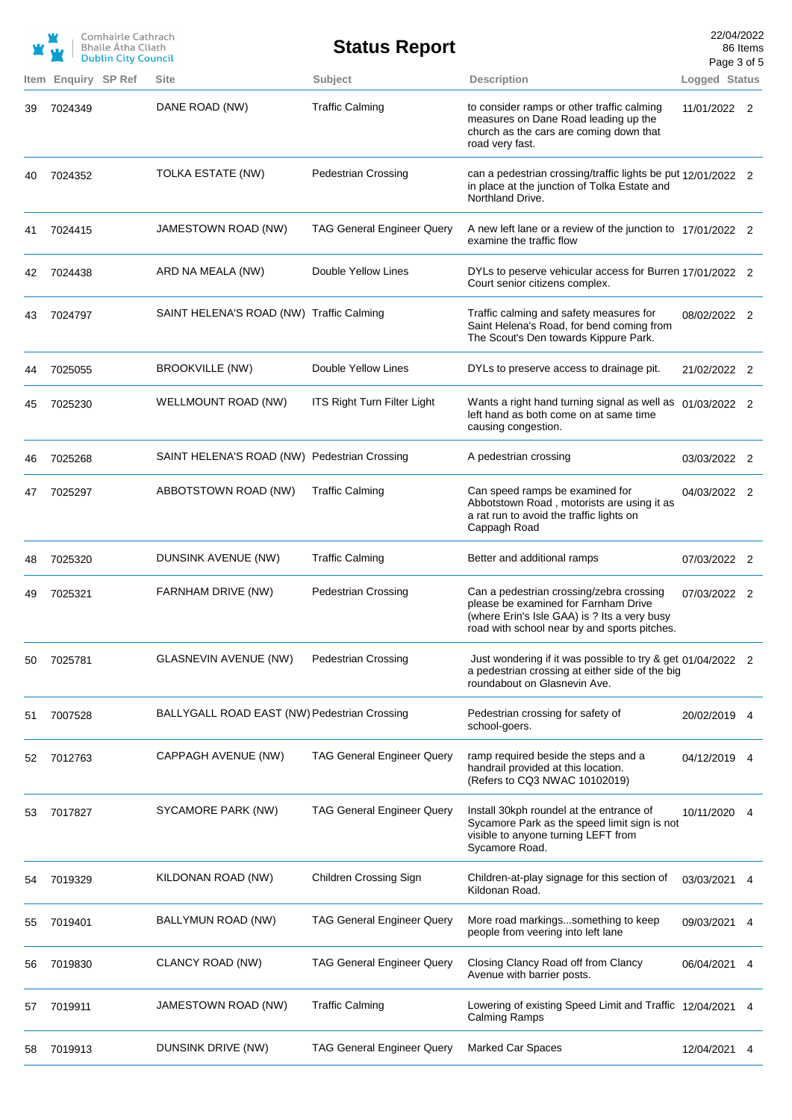|            | <b>Enguiry SP Ref</b> | Comhairle Cathrach<br><b>Bhaile Atha Cliath</b><br><b>Dublin City Council</b> | <b>Site</b>                                  | <b>Status Report</b><br><b>Subject</b> | <b>Description</b>                                                                                                                                                               | 22/04/2022<br>Page 3 of 5<br>Logged Status | 86 Items |
|------------|-----------------------|-------------------------------------------------------------------------------|----------------------------------------------|----------------------------------------|----------------------------------------------------------------------------------------------------------------------------------------------------------------------------------|--------------------------------------------|----------|
| Item<br>39 | 7024349               |                                                                               | DANE ROAD (NW)                               | <b>Traffic Calming</b>                 | to consider ramps or other traffic calming<br>measures on Dane Road leading up the<br>church as the cars are coming down that<br>road very fast.                                 | 11/01/2022 2                               |          |
| 40         | 7024352               |                                                                               | TOLKA ESTATE (NW)                            | Pedestrian Crossing                    | can a pedestrian crossing/traffic lights be put 12/01/2022 2<br>in place at the junction of Tolka Estate and<br>Northland Drive.                                                 |                                            |          |
| 41         | 7024415               |                                                                               | JAMESTOWN ROAD (NW)                          | <b>TAG General Engineer Query</b>      | A new left lane or a review of the junction to 17/01/2022 2<br>examine the traffic flow                                                                                          |                                            |          |
| 42         | 7024438               |                                                                               | ARD NA MEALA (NW)                            | Double Yellow Lines                    | DYLs to peserve vehicular access for Burren 17/01/2022 2<br>Court senior citizens complex.                                                                                       |                                            |          |
| 43         | 7024797               |                                                                               | SAINT HELENA'S ROAD (NW) Traffic Calming     |                                        | Traffic calming and safety measures for<br>Saint Helena's Road, for bend coming from<br>The Scout's Den towards Kippure Park.                                                    | 08/02/2022 2                               |          |
| 44         | 7025055               |                                                                               | BROOKVILLE (NW)                              | Double Yellow Lines                    | DYLs to preserve access to drainage pit.                                                                                                                                         | 21/02/2022 2                               |          |
| 45         | 7025230               |                                                                               | WELLMOUNT ROAD (NW)                          | ITS Right Turn Filter Light            | Wants a right hand turning signal as well as 01/03/2022 2<br>left hand as both come on at same time<br>causing congestion.                                                       |                                            |          |
| 46         | 7025268               |                                                                               | SAINT HELENA'S ROAD (NW) Pedestrian Crossing |                                        | A pedestrian crossing                                                                                                                                                            | 03/03/2022 2                               |          |
| 47         | 7025297               |                                                                               | ABBOTSTOWN ROAD (NW)                         | <b>Traffic Calming</b>                 | Can speed ramps be examined for<br>Abbotstown Road, motorists are using it as<br>a rat run to avoid the traffic lights on<br>Cappagh Road                                        | 04/03/2022 2                               |          |
| 48         | 7025320               |                                                                               | DUNSINK AVENUE (NW)                          | <b>Traffic Calming</b>                 | Better and additional ramps                                                                                                                                                      | 07/03/2022 2                               |          |
| 49         | 7025321               |                                                                               | FARNHAM DRIVE (NW)                           | <b>Pedestrian Crossing</b>             | Can a pedestrian crossing/zebra crossing<br>please be examined for Farnham Drive<br>(where Erin's Isle GAA) is ? Its a very busy<br>road with school near by and sports pitches. | 07/03/2022 2                               |          |
| 50         | 7025781               |                                                                               | <b>GLASNEVIN AVENUE (NW)</b>                 | <b>Pedestrian Crossing</b>             | Just wondering if it was possible to try & get 01/04/2022 2<br>a pedestrian crossing at either side of the big<br>roundabout on Glasnevin Ave.                                   |                                            |          |
| 51         | 7007528               |                                                                               | BALLYGALL ROAD EAST (NW) Pedestrian Crossing |                                        | Pedestrian crossing for safety of<br>school-goers.                                                                                                                               | 20/02/2019 4                               |          |
| 52         | 7012763               |                                                                               | CAPPAGH AVENUE (NW)                          | <b>TAG General Engineer Query</b>      | ramp required beside the steps and a<br>handrail provided at this location.<br>(Refers to CQ3 NWAC 10102019)                                                                     | 04/12/2019                                 | 4        |
| 53         | 7017827               |                                                                               | SYCAMORE PARK (NW)                           | <b>TAG General Engineer Query</b>      | Install 30kph roundel at the entrance of<br>Sycamore Park as the speed limit sign is not<br>visible to anyone turning LEFT from<br>Sycamore Road.                                | 10/11/2020                                 | 4        |
| 54         | 7019329               |                                                                               | KILDONAN ROAD (NW)                           | <b>Children Crossing Sign</b>          | Children-at-play signage for this section of<br>Kildonan Road.                                                                                                                   | 03/03/2021                                 | 4        |
| 55         | 7019401               |                                                                               | BALLYMUN ROAD (NW)                           | <b>TAG General Engineer Query</b>      | More road markingssomething to keep<br>people from veering into left lane                                                                                                        | 09/03/2021                                 | 4        |
| 56         | 7019830               |                                                                               | CLANCY ROAD (NW)                             | <b>TAG General Engineer Query</b>      | Closing Clancy Road off from Clancy<br>Avenue with barrier posts.                                                                                                                | 06/04/2021                                 | 4        |
| 57         | 7019911               |                                                                               | JAMESTOWN ROAD (NW)                          | <b>Traffic Calming</b>                 | Lowering of existing Speed Limit and Traffic 12/04/2021<br><b>Calming Ramps</b>                                                                                                  |                                            | 4        |
| 58         | 7019913               |                                                                               | DUNSINK DRIVE (NW)                           | <b>TAG General Engineer Query</b>      | Marked Car Spaces                                                                                                                                                                | 12/04/2021                                 | 4        |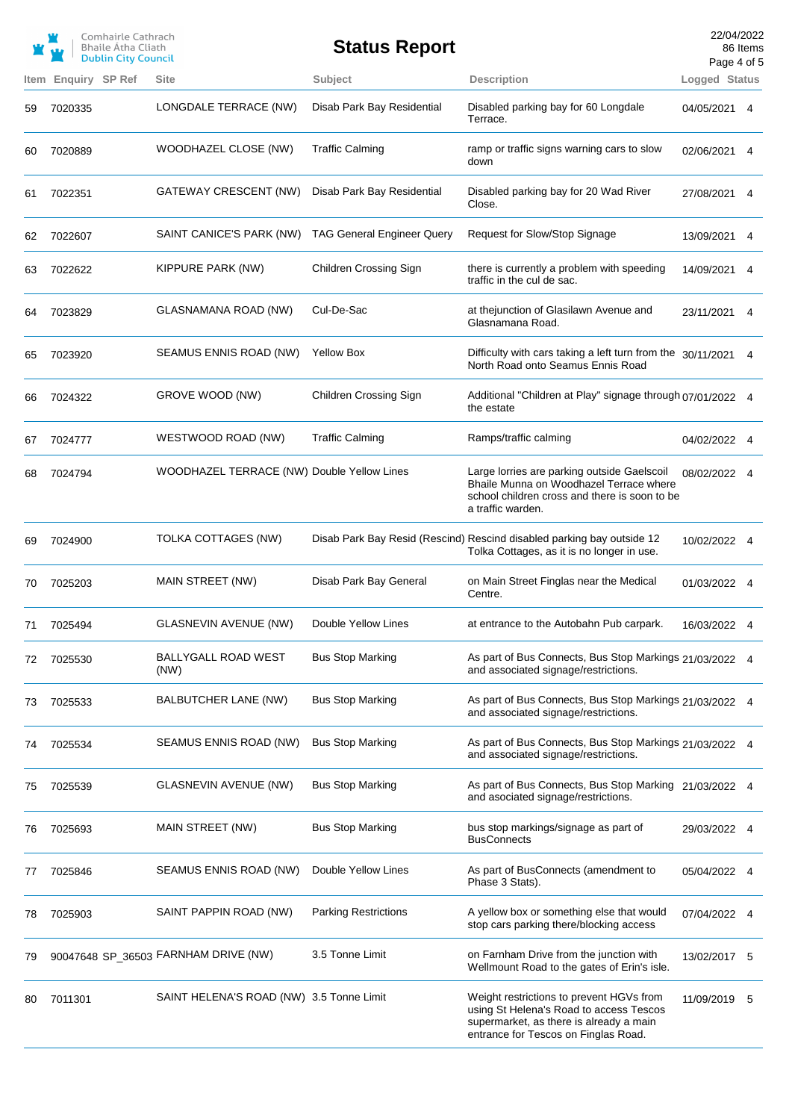|    |                     | Comhairle Cathrach<br>Bhaile Átha Cliath<br><b>Dublin City Council</b> |                                            | <b>Status Report</b>              |                                                                                                                                                                        | 22/04/2022<br>Page 4 of 5 | 86 Items |
|----|---------------------|------------------------------------------------------------------------|--------------------------------------------|-----------------------------------|------------------------------------------------------------------------------------------------------------------------------------------------------------------------|---------------------------|----------|
|    | Item Enquiry SP Ref |                                                                        | <b>Site</b>                                | Subject                           | <b>Description</b>                                                                                                                                                     | Logged Status             |          |
| 59 | 7020335             |                                                                        | LONGDALE TERRACE (NW)                      | Disab Park Bay Residential        | Disabled parking bay for 60 Longdale<br>Terrace.                                                                                                                       | 04/05/2021 4              |          |
| 60 | 7020889             |                                                                        | WOODHAZEL CLOSE (NW)                       | <b>Traffic Calming</b>            | ramp or traffic signs warning cars to slow<br>down                                                                                                                     | 02/06/2021 4              |          |
| 61 | 7022351             |                                                                        | GATEWAY CRESCENT (NW)                      | Disab Park Bay Residential        | Disabled parking bay for 20 Wad River<br>Close.                                                                                                                        | 27/08/2021 4              |          |
| 62 | 7022607             |                                                                        | SAINT CANICE'S PARK (NW)                   | <b>TAG General Engineer Query</b> | Request for Slow/Stop Signage                                                                                                                                          | 13/09/2021                | 4        |
| 63 | 7022622             |                                                                        | KIPPURE PARK (NW)                          | Children Crossing Sign            | there is currently a problem with speeding<br>traffic in the cul de sac.                                                                                               | 14/09/2021                | 4        |
| 64 | 7023829             |                                                                        | GLASNAMANA ROAD (NW)                       | Cul-De-Sac                        | at thejunction of Glasilawn Avenue and<br>Glasnamana Road.                                                                                                             | 23/11/2021 4              |          |
| 65 | 7023920             |                                                                        | SEAMUS ENNIS ROAD (NW)                     | <b>Yellow Box</b>                 | Difficulty with cars taking a left turn from the 30/11/2021<br>North Road onto Seamus Ennis Road                                                                       |                           | 4        |
| 66 | 7024322             |                                                                        | GROVE WOOD (NW)                            | <b>Children Crossing Sign</b>     | Additional "Children at Play" signage through 07/01/2022 4<br>the estate                                                                                               |                           |          |
| 67 | 7024777             |                                                                        | WESTWOOD ROAD (NW)                         | <b>Traffic Calming</b>            | Ramps/traffic calming                                                                                                                                                  | 04/02/2022 4              |          |
| 68 | 7024794             |                                                                        | WOODHAZEL TERRACE (NW) Double Yellow Lines |                                   | Large lorries are parking outside Gaelscoil<br>Bhaile Munna on Woodhazel Terrace where<br>school children cross and there is soon to be<br>a traffic warden.           | 08/02/2022 4              |          |
| 69 | 7024900             |                                                                        | TOLKA COTTAGES (NW)                        |                                   | Disab Park Bay Resid (Rescind) Rescind disabled parking bay outside 12<br>Tolka Cottages, as it is no longer in use.                                                   | 10/02/2022 4              |          |
| 70 | 7025203             |                                                                        | MAIN STREET (NW)                           | Disab Park Bay General            | on Main Street Finglas near the Medical<br>Centre.                                                                                                                     | 01/03/2022 4              |          |
|    | 7025494             |                                                                        | <b>GLASNEVIN AVENUE (NW)</b>               | Double Yellow Lines               | at entrance to the Autobahn Pub carpark.                                                                                                                               | 16/03/2022 4              |          |
| 72 | 7025530             |                                                                        | BALLYGALL ROAD WEST<br>(NW)                | <b>Bus Stop Marking</b>           | As part of Bus Connects, Bus Stop Markings 21/03/2022 4<br>and associated signage/restrictions.                                                                        |                           |          |
| 73 | 7025533             |                                                                        | BALBUTCHER LANE (NW)                       | <b>Bus Stop Marking</b>           | As part of Bus Connects, Bus Stop Markings 21/03/2022 4<br>and associated signage/restrictions.                                                                        |                           |          |
| 74 | 7025534             |                                                                        | SEAMUS ENNIS ROAD (NW)                     | <b>Bus Stop Marking</b>           | As part of Bus Connects, Bus Stop Markings 21/03/2022 4<br>and associated signage/restrictions.                                                                        |                           |          |
| 75 | 7025539             |                                                                        | <b>GLASNEVIN AVENUE (NW)</b>               | <b>Bus Stop Marking</b>           | As part of Bus Connects, Bus Stop Marking 21/03/2022 4<br>and asociated signage/restrictions.                                                                          |                           |          |
| 76 | 7025693             |                                                                        | MAIN STREET (NW)                           | <b>Bus Stop Marking</b>           | bus stop markings/signage as part of<br><b>BusConnects</b>                                                                                                             | 29/03/2022 4              |          |
| 77 | 7025846             |                                                                        | SEAMUS ENNIS ROAD (NW)                     | Double Yellow Lines               | As part of BusConnects (amendment to<br>Phase 3 Stats).                                                                                                                | 05/04/2022 4              |          |
| 78 | 7025903             |                                                                        | SAINT PAPPIN ROAD (NW)                     | <b>Parking Restrictions</b>       | A yellow box or something else that would<br>stop cars parking there/blocking access                                                                                   | 07/04/2022 4              |          |
| 79 |                     |                                                                        | 90047648 SP_36503 FARNHAM DRIVE (NW)       | 3.5 Tonne Limit                   | on Farnham Drive from the junction with<br>Wellmount Road to the gates of Erin's isle.                                                                                 | 13/02/2017 5              |          |
| 80 | 7011301             |                                                                        | SAINT HELENA'S ROAD (NW) 3.5 Tonne Limit   |                                   | Weight restrictions to prevent HGVs from<br>using St Helena's Road to access Tescos<br>supermarket, as there is already a main<br>entrance for Tescos on Finglas Road. | 11/09/2019 5              |          |